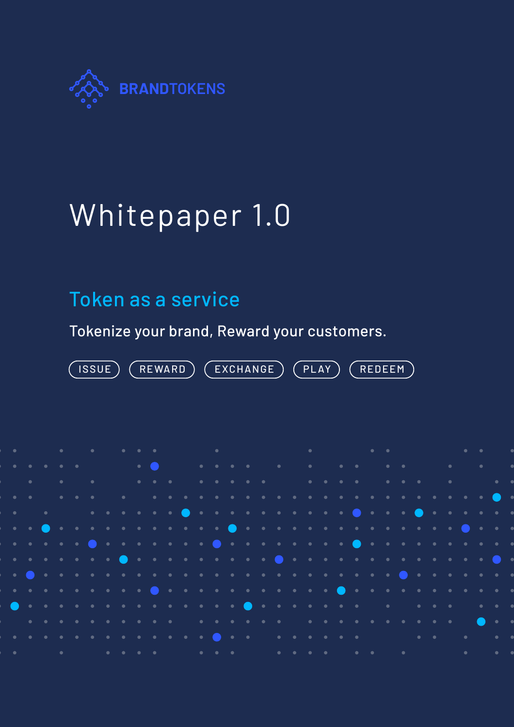

# Whitepaper 1.0

## Token as a service

Tokenize your brand, Reward your customers.

ISSUE) (REWARD) (EXCHANGE) (PLAY) (REDEEM

|                            | $\bullet$ , and a set of the set of the set of the set of the set of the set of the set of the set of the set of the set of the set of the set of the set of the set of the set of the set of the set of the set of the set of the |  |                                                                                             |  |  |  |  |  |  |  |  |  |  |  |  |  |  |
|----------------------------|------------------------------------------------------------------------------------------------------------------------------------------------------------------------------------------------------------------------------------|--|---------------------------------------------------------------------------------------------|--|--|--|--|--|--|--|--|--|--|--|--|--|--|
|                            | . The contract of the contract of the contract of the contract of the contract of the contract of the contract of the contract of the contract of the contract of the contract of the contract of the contract of the contrac      |  |                                                                                             |  |  |  |  |  |  |  |  |  |  |  |  |  |  |
|                            |                                                                                                                                                                                                                                    |  |                                                                                             |  |  |  |  |  |  |  |  |  |  |  |  |  |  |
| $\overline{\phantom{a}}$ . |                                                                                                                                                                                                                                    |  | $\begin{array}{cccccccccccccc} \bullet & \bullet & \bullet & \bullet & \bullet \end{array}$ |  |  |  |  |  |  |  |  |  |  |  |  |  |  |
|                            |                                                                                                                                                                                                                                    |  |                                                                                             |  |  |  |  |  |  |  |  |  |  |  |  |  |  |
|                            |                                                                                                                                                                                                                                    |  |                                                                                             |  |  |  |  |  |  |  |  |  |  |  |  |  |  |
|                            |                                                                                                                                                                                                                                    |  |                                                                                             |  |  |  |  |  |  |  |  |  |  |  |  |  |  |
|                            |                                                                                                                                                                                                                                    |  |                                                                                             |  |  |  |  |  |  |  |  |  |  |  |  |  |  |
|                            |                                                                                                                                                                                                                                    |  |                                                                                             |  |  |  |  |  |  |  |  |  |  |  |  |  |  |
|                            | $\bullet$ . One can be a constructed and a construction of $\bullet$ and $\bullet$ and $\bullet$ and $\bullet$ and $\bullet$                                                                                                       |  |                                                                                             |  |  |  |  |  |  |  |  |  |  |  |  |  |  |
|                            |                                                                                                                                                                                                                                    |  |                                                                                             |  |  |  |  |  |  |  |  |  |  |  |  |  |  |
|                            | $\bullet$ . It is a state of a state of $\bullet$ is a state of a state of a state of a state of $\bullet$                                                                                                                         |  |                                                                                             |  |  |  |  |  |  |  |  |  |  |  |  |  |  |
|                            |                                                                                                                                                                                                                                    |  |                                                                                             |  |  |  |  |  |  |  |  |  |  |  |  |  |  |
|                            |                                                                                                                                                                                                                                    |  |                                                                                             |  |  |  |  |  |  |  |  |  |  |  |  |  |  |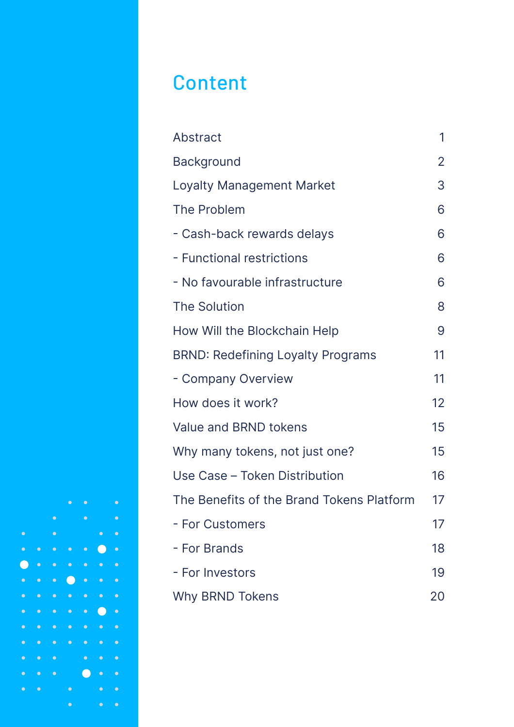## **Content**

| Abstract                                  | 1  |
|-------------------------------------------|----|
| <b>Background</b>                         | 2  |
| Loyalty Management Market                 | 3  |
| The Problem                               | 6  |
| - Cash-back rewards delays                | 6  |
| - Functional restrictions                 | 6  |
| - No favourable infrastructure            | 6  |
| <b>The Solution</b>                       | 8  |
| How Will the Blockchain Help              | 9  |
| <b>BRND: Redefining Loyalty Programs</b>  | 11 |
| - Company Overview                        | 11 |
| How does it work?                         | 12 |
| Value and BRND tokens                     | 15 |
| Why many tokens, not just one?            | 15 |
| Use Case - Token Distribution             | 16 |
| The Benefits of the Brand Tokens Platform | 17 |
| - For Customers                           | 17 |
| - For Brands                              | 18 |
| - For Investors                           | 19 |
| <b>Why BRND Tokens</b>                    | 20 |

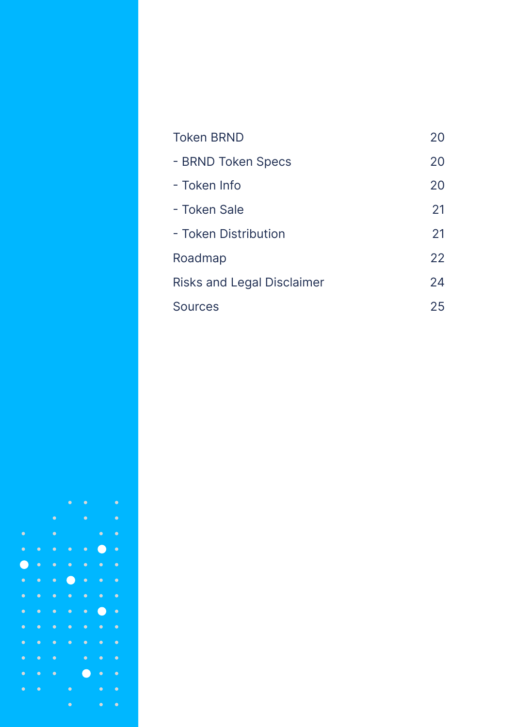| <b>Token BRND</b>                 | 20 |
|-----------------------------------|----|
| - BRND Token Specs                | 20 |
| - Token Info                      | 20 |
| - Token Sale                      | 21 |
| - Token Distribution              | 21 |
| Roadmap                           | 22 |
| <b>Risks and Legal Disclaimer</b> | 24 |
| Sources                           | 25 |

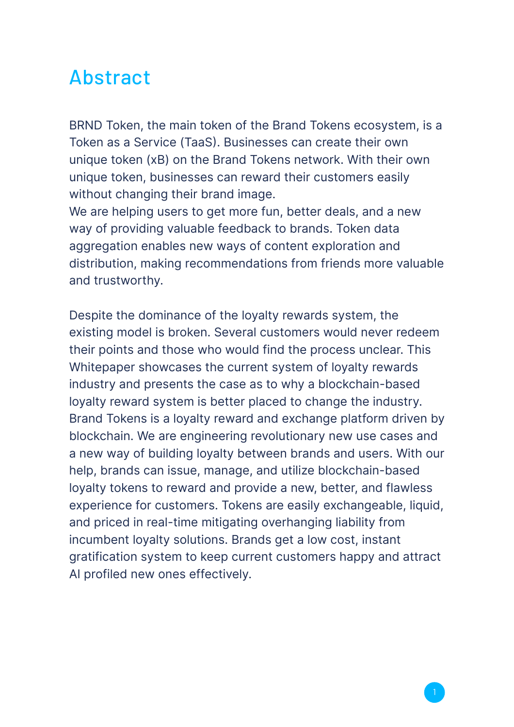#### Abstract

BRND Token, the main token of the Brand Tokens ecosystem, is a Token as a Service (TaaS). Businesses can create their own unique token (xB) on the Brand Tokens network. With their own unique token, businesses can reward their customers easily without changing their brand image.

We are helping users to get more fun, better deals, and a new way of providing valuable feedback to brands. Token data aggregation enables new ways of content exploration and distribution, making recommendations from friends more valuable and trustworthy.

Despite the dominance of the loyalty rewards system, the existing model is broken. Several customers would never redeem their points and those who would find the process unclear. This Whitepaper showcases the current system of loyalty rewards industry and presents the case as to why a blockchain-based loyalty reward system is better placed to change the industry. Brand Tokens is a loyalty reward and exchange platform driven by blockchain. We are engineering revolutionary new use cases and a new way of building loyalty between brands and users. With our help, brands can issue, manage, and utilize blockchain-based loyalty tokens to reward and provide a new, better, and flawless experience for customers. Tokens are easily exchangeable, liquid, and priced in real-time mitigating overhanging liability from incumbent loyalty solutions. Brands get a low cost, instant gratification system to keep current customers happy and attract AI profiled new ones effectively.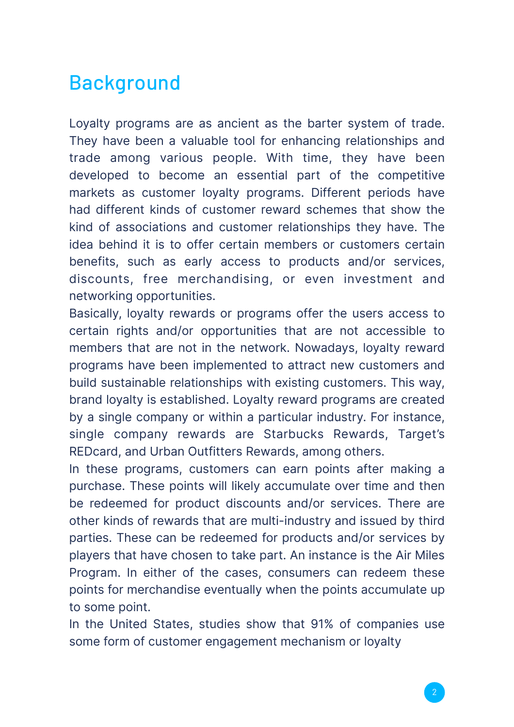## Background

Loyalty programs are as ancient as the barter system of trade. They have been a valuable tool for enhancing relationships and trade among various people. With time, they have been developed to become an essential part of the competitive markets as customer loyalty programs. Different periods have had different kinds of customer reward schemes that show the kind of associations and customer relationships they have. The idea behind it is to offer certain members or customers certain benefits, such as early access to products and/or services, discounts, free merchandising, or even investment and networking opportunities.

Basically, loyalty rewards or programs offer the users access to certain rights and/or opportunities that are not accessible to members that are not in the network. Nowadays, loyalty reward programs have been implemented to attract new customers and build sustainable relationships with existing customers. This way, brand loyalty is established. Loyalty reward programs are created by a single company or within a particular industry. For instance, single company rewards are Starbucks Rewards, Target's REDcard, and Urban Outfitters Rewards, among others.

In these programs, customers can earn points after making a purchase. These points will likely accumulate over time and then be redeemed for product discounts and/or services. There are other kinds of rewards that are multi-industry and issued by third parties. These can be redeemed for products and/or services by players that have chosen to take part. An instance is the Air Miles Program. In either of the cases, consumers can redeem these points for merchandise eventually when the points accumulate up to some point.

In the United States, studies show that 91% of companies use some form of customer engagement mechanism or loyalty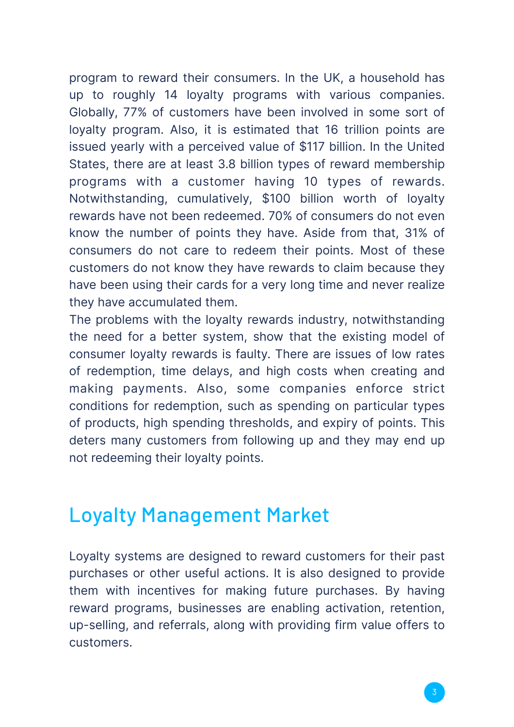program to reward their consumers. In the UK, a household has up to roughly 14 loyalty programs with various companies. Globally, 77% of customers have been involved in some sort of loyalty program. Also, it is estimated that 16 trillion points are issued yearly with a perceived value of \$117 billion. In the United States, there are at least 3.8 billion types of reward membership programs with a customer having 10 types of rewards. Notwithstanding, cumulatively, \$100 billion worth of loyalty rewards have not been redeemed. 70% of consumers do not even know the number of points they have. Aside from that, 31% of consumers do not care to redeem their points. Most of these customers do not know they have rewards to claim because they have been using their cards for a very long time and never realize they have accumulated them.

The problems with the loyalty rewards industry, notwithstanding the need for a better system, show that the existing model of consumer loyalty rewards is faulty. There are issues of low rates of redemption, time delays, and high costs when creating and making payments. Also, some companies enforce strict conditions for redemption, such as spending on particular types of products, high spending thresholds, and expiry of points. This deters many customers from following up and they may end up not redeeming their loyalty points.

### Loyalty Management Market

Loyalty systems are designed to reward customers for their past purchases or other useful actions. It is also designed to provide them with incentives for making future purchases. By having reward programs, businesses are enabling activation, retention, up-selling, and referrals, along with providing firm value offers to customers.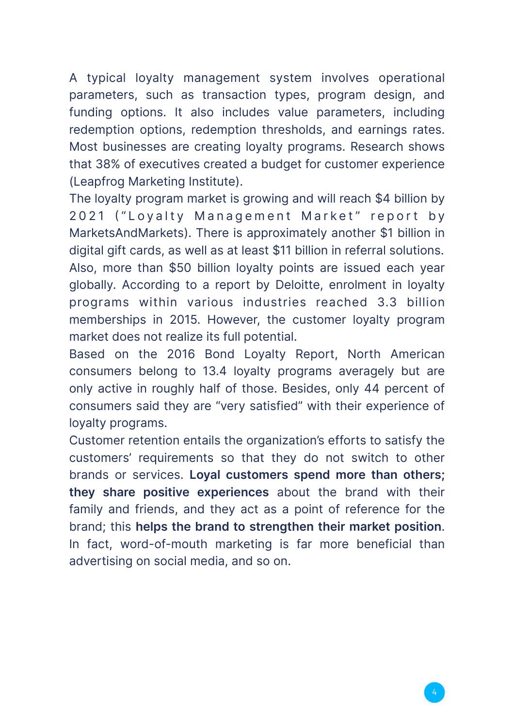A typical loyalty management system involves operational parameters, such as transaction types, program design, and funding options. It also includes value parameters, including redemption options, redemption thresholds, and earnings rates. Most businesses are creating loyalty programs. Research shows that 38% of executives created a budget for customer experience (Leapfrog Marketing Institute).

The loyalty program market is growing and will reach \$4 billion by 2021 ("Loyalty Management Market" report by MarketsAndMarkets). There is approximately another \$1 billion in digital gift cards, as well as at least \$11 billion in referral solutions. Also, more than \$50 billion loyalty points are issued each year globally. According to a report by Deloitte, enrolment in loyalty programs within various industries reached 3.3 billion memberships in 2015. However, the customer loyalty program market does not realize its full potential.

Based on the 2016 Bond Loyalty Report, North American consumers belong to 13.4 loyalty programs averagely but are only active in roughly half of those. Besides, only 44 percent of consumers said they are "very satisfied" with their experience of loyalty programs.

Customer retention entails the organization's efforts to satisfy the customers' requirements so that they do not switch to other brands or services. **Loyal customers spend more than others; they share positive experiences** about the brand with their family and friends, and they act as a point of reference for the brand; this **helps the brand to strengthen their market position**. In fact, word-of-mouth marketing is far more beneficial than advertising on social media, and so on.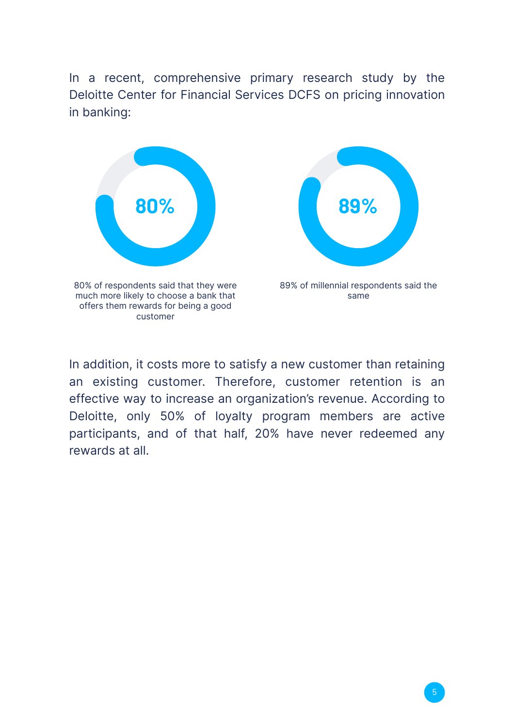In a recent, comprehensive primary research study by the Deloitte Center for Financial Services DCFS on pricing innovation in banking:



In addition, it costs more to satisfy a new customer than retaining an existing customer. Therefore, customer retention is an effective way to increase an organization's revenue. According to Deloitte, only 50% of loyalty program members are active participants, and of that half, 20% have never redeemed any rewards at all.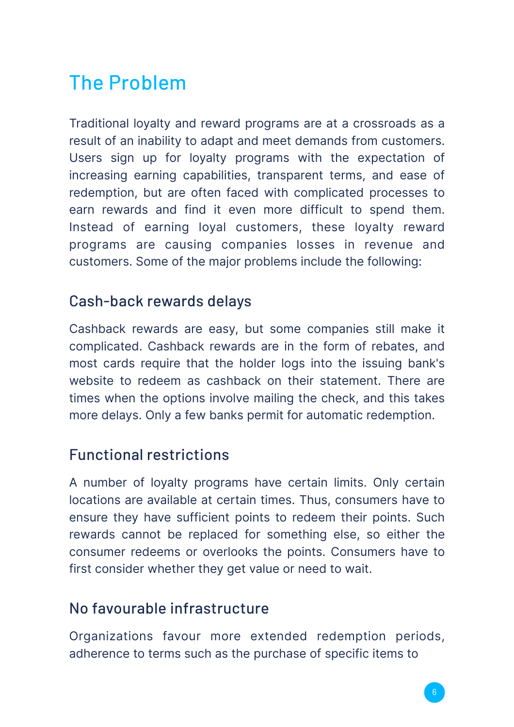## The Problem

Traditional loyalty and reward programs are at a crossroads as a result of an inability to adapt and meet demands from customers. Users sign up for loyalty programs with the expectation of increasing earning capabilities, transparent terms, and ease of redemption, but are often faced with complicated processes to earn rewards and find it even more difficult to spend them. Instead of earning loyal customers, these loyalty reward programs are causing companies losses in revenue and customers. Some of the major problems include the following:

#### Cash-back rewards delays

Cashback rewards are easy, but some companies still make it complicated. Cashback rewards are in the form of rebates, and most cards require that the holder logs into the issuing bank's website to redeem as cashback on their statement. There are times when the options involve mailing the check, and this takes more delays. Only a few banks permit for automatic redemption.

#### Functional restrictions

A number of loyalty programs have certain limits. Only certain locations are available at certain times. Thus, consumers have to ensure they have sufficient points to redeem their points. Such rewards cannot be replaced for something else, so either the consumer redeems or overlooks the points. Consumers have to first consider whether they get value or need to wait.

#### No favourable infrastructure

Organizations favour more extended redemption periods, adherence to terms such as the purchase of specific items to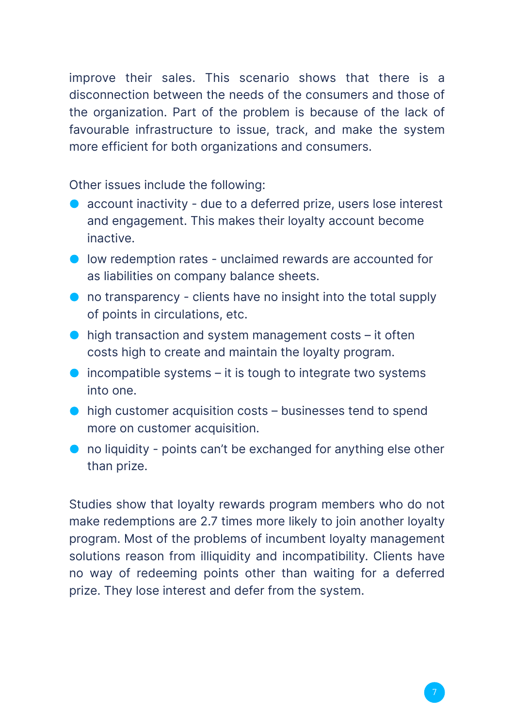improve their sales. This scenario shows that there is a disconnection between the needs of the consumers and those of the organization. Part of the problem is because of the lack of favourable infrastructure to issue, track, and make the system more efficient for both organizations and consumers.

Other issues include the following:

- account inactivity due to a deferred prize, users lose interest and engagement. This makes their loyalty account become inactive.
- **I** low redemption rates unclaimed rewards are accounted for as liabilities on company balance sheets.
- **O** no transparency clients have no insight into the total supply of points in circulations, etc.
- $\bullet$  high transaction and system management costs it often costs high to create and maintain the loyalty program.
- $\bullet$  incompatible systems it is tough to integrate two systems into one.
- high customer acquisition costs businesses tend to spend more on customer acquisition.
- no liquidity points can't be exchanged for anything else other than prize.

Studies show that loyalty rewards program members who do not make redemptions are 2.7 times more likely to join another loyalty program. Most of the problems of incumbent loyalty management solutions reason from illiquidity and incompatibility. Clients have no way of redeeming points other than waiting for a deferred prize. They lose interest and defer from the system.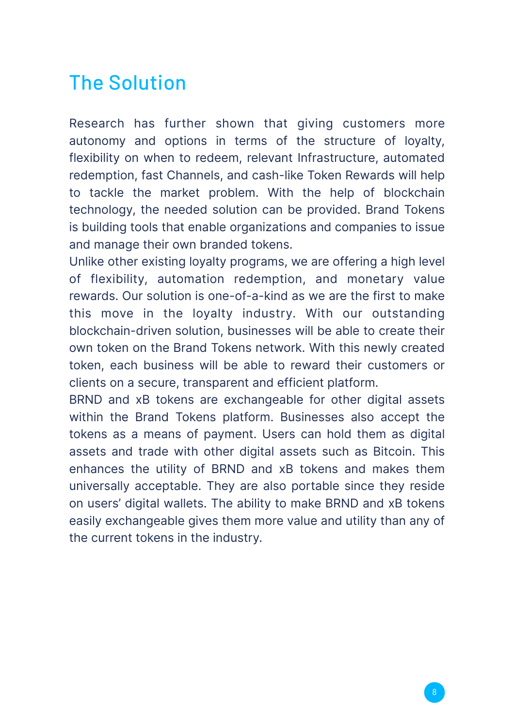## The Solution

Research has further shown that giving customers more autonomy and options in terms of the structure of loyalty, flexibility on when to redeem, relevant Infrastructure, automated redemption, fast Channels, and cash-like Token Rewards will help to tackle the market problem. With the help of blockchain technology, the needed solution can be provided. Brand Tokens is building tools that enable organizations and companies to issue and manage their own branded tokens.

Unlike other existing loyalty programs, we are offering a high level of flexibility, automation redemption, and monetary value rewards. Our solution is one-of-a-kind as we are the first to make this move in the loyalty industry. With our outstanding blockchain-driven solution, businesses will be able to create their own token on the Brand Tokens network. With this newly created token, each business will be able to reward their customers or clients on a secure, transparent and efficient platform.

BRND and xB tokens are exchangeable for other digital assets within the Brand Tokens platform. Businesses also accept the tokens as a means of payment. Users can hold them as digital assets and trade with other digital assets such as Bitcoin. This enhances the utility of BRND and xB tokens and makes them universally acceptable. They are also portable since they reside on users' digital wallets. The ability to make BRND and xB tokens easily exchangeable gives them more value and utility than any of the current tokens in the industry.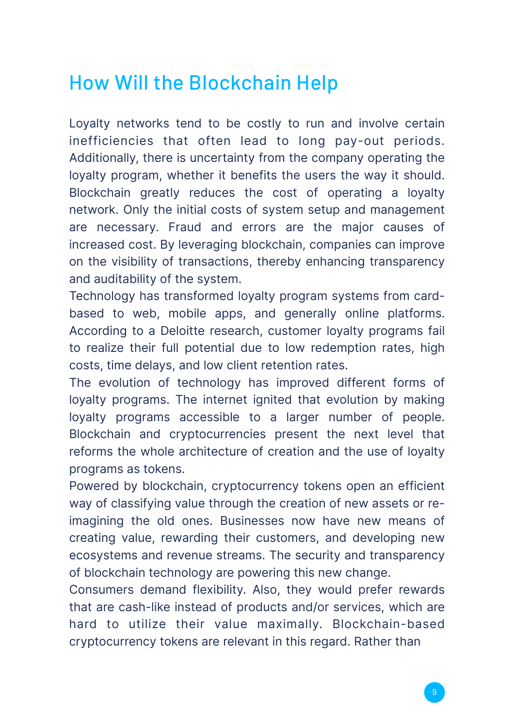## How Will the Blockchain Help

Loyalty networks tend to be costly to run and involve certain inefficiencies that often lead to long pay-out periods. Additionally, there is uncertainty from the company operating the loyalty program, whether it benefits the users the way it should. Blockchain greatly reduces the cost of operating a loyalty network. Only the initial costs of system setup and management are necessary. Fraud and errors are the major causes of increased cost. By leveraging blockchain, companies can improve on the visibility of transactions, thereby enhancing transparency and auditability of the system.

Technology has transformed loyalty program systems from cardbased to web, mobile apps, and generally online platforms. According to a Deloitte research, customer loyalty programs fail to realize their full potential due to low redemption rates, high costs, time delays, and low client retention rates.

The evolution of technology has improved different forms of loyalty programs. The internet ignited that evolution by making loyalty programs accessible to a larger number of people. Blockchain and cryptocurrencies present the next level that reforms the whole architecture of creation and the use of loyalty programs as tokens.

Powered by blockchain, cryptocurrency tokens open an efficient way of classifying value through the creation of new assets or reimagining the old ones. Businesses now have new means of creating value, rewarding their customers, and developing new ecosystems and revenue streams. The security and transparency of blockchain technology are powering this new change.

Consumers demand flexibility. Also, they would prefer rewards that are cash-like instead of products and/or services, which are hard to utilize their value maximally. Blockchain-based cryptocurrency tokens are relevant in this regard. Rather than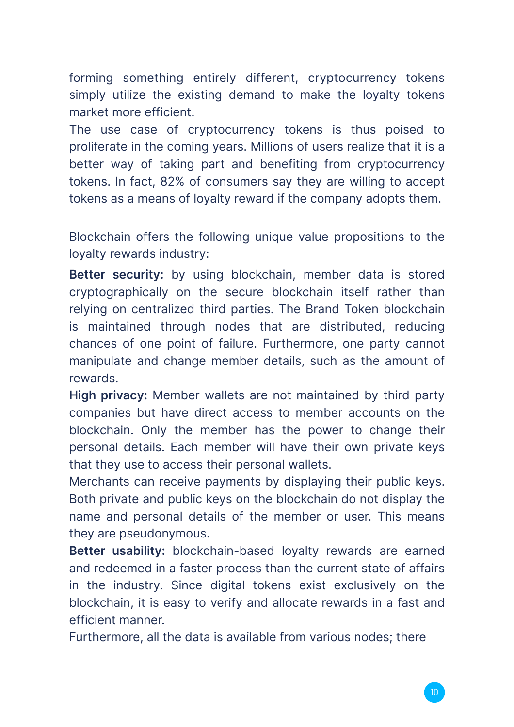forming something entirely different, cryptocurrency tokens simply utilize the existing demand to make the loyalty tokens market more efficient.

The use case of cryptocurrency tokens is thus poised to proliferate in the coming years. Millions of users realize that it is a better way of taking part and benefiting from cryptocurrency tokens. In fact, 82% of consumers say they are willing to accept tokens as a means of loyalty reward if the company adopts them.

Blockchain offers the following unique value propositions to the loyalty rewards industry:

**Better security:** by using blockchain, member data is stored cryptographically on the secure blockchain itself rather than relying on centralized third parties. The Brand Token blockchain is maintained through nodes that are distributed, reducing chances of one point of failure. Furthermore, one party cannot manipulate and change member details, such as the amount of rewards.

**High privacy:** Member wallets are not maintained by third party companies but have direct access to member accounts on the blockchain. Only the member has the power to change their personal details. Each member will have their own private keys that they use to access their personal wallets.

Merchants can receive payments by displaying their public keys. Both private and public keys on the blockchain do not display the name and personal details of the member or user. This means they are pseudonymous.

**Better usability:** blockchain-based loyalty rewards are earned and redeemed in a faster process than the current state of affairs in the industry. Since digital tokens exist exclusively on the blockchain, it is easy to verify and allocate rewards in a fast and efficient manner.

Furthermore, all the data is available from various nodes; there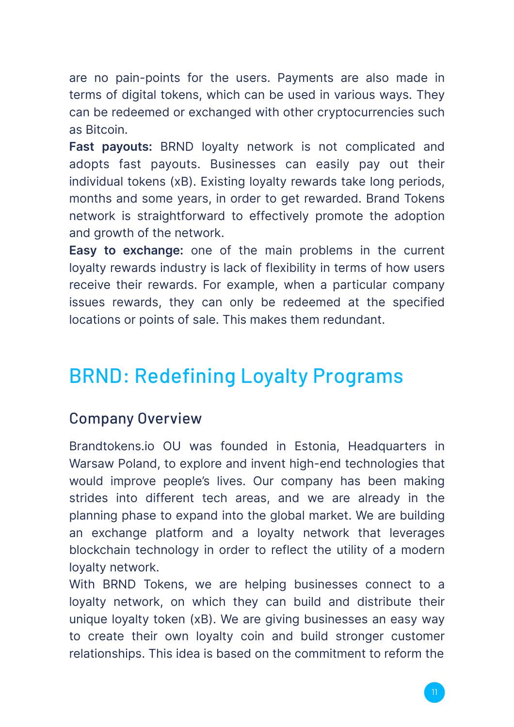are no pain-points for the users. Payments are also made in terms of digital tokens, which can be used in various ways. They can be redeemed or exchanged with other cryptocurrencies such as Bitcoin.

**Fast payouts:** BRND loyalty network is not complicated and adopts fast payouts. Businesses can easily pay out their individual tokens (xB). Existing loyalty rewards take long periods, months and some years, in order to get rewarded. Brand Tokens network is straightforward to effectively promote the adoption and growth of the network.

**Easy to exchange:** one of the main problems in the current loyalty rewards industry is lack of flexibility in terms of how users receive their rewards. For example, when a particular company issues rewards, they can only be redeemed at the specified locations or points of sale. This makes them redundant.

## BRND: Redefining Loyalty Programs

#### Company Overview

Brandtokens.io OU was founded in Estonia, Headquarters in Warsaw Poland, to explore and invent high-end technologies that would improve people's lives. Our company has been making strides into different tech areas, and we are already in the planning phase to expand into the global market. We are building an exchange platform and a loyalty network that leverages blockchain technology in order to reflect the utility of a modern loyalty network.

With BRND Tokens, we are helping businesses connect to a loyalty network, on which they can build and distribute their unique loyalty token (xB). We are giving businesses an easy way to create their own loyalty coin and build stronger customer relationships. This idea is based on the commitment to reform the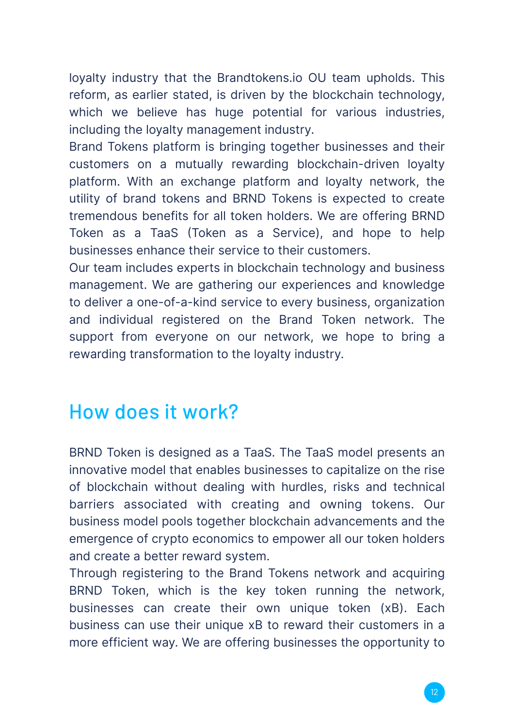loyalty industry that the Brandtokens.io OU team upholds. This reform, as earlier stated, is driven by the blockchain technology, which we believe has huge potential for various industries, including the loyalty management industry.

Brand Tokens platform is bringing together businesses and their customers on a mutually rewarding blockchain-driven loyalty platform. With an exchange platform and loyalty network, the utility of brand tokens and BRND Tokens is expected to create tremendous benefits for all token holders. We are offering BRND Token as a TaaS (Token as a Service), and hope to help businesses enhance their service to their customers.

Our team includes experts in blockchain technology and business management. We are gathering our experiences and knowledge to deliver a one-of-a-kind service to every business, organization and individual registered on the Brand Token network. The support from everyone on our network, we hope to bring a rewarding transformation to the loyalty industry.

### How does it work?

BRND Token is designed as a TaaS. The TaaS model presents an innovative model that enables businesses to capitalize on the rise of blockchain without dealing with hurdles, risks and technical barriers associated with creating and owning tokens. Our business model pools together blockchain advancements and the emergence of crypto economics to empower all our token holders and create a better reward system.

Through registering to the Brand Tokens network and acquiring BRND Token, which is the key token running the network, businesses can create their own unique token (xB). Each business can use their unique xB to reward their customers in a more efficient way. We are offering businesses the opportunity to

technical challenges and costs of creating a token from scratch.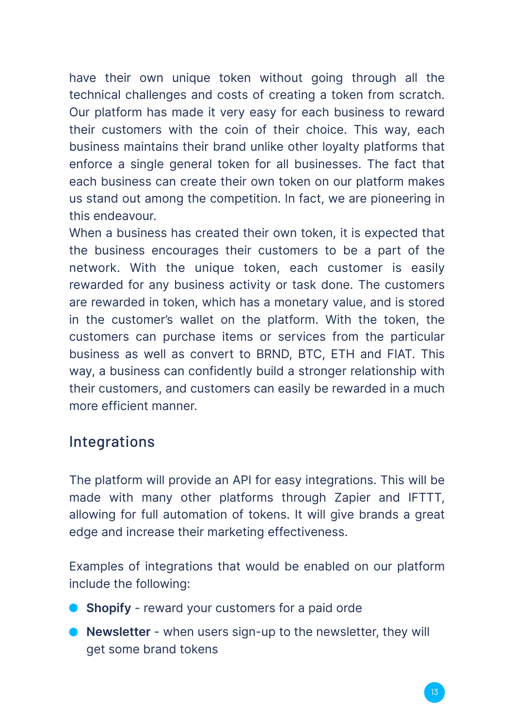have their own unique token without going through all the technical challenges and costs of creating a token from scratch. Our platform has made it very easy for each business to reward their customers with the coin of their choice. This way, each business maintains their brand unlike other loyalty platforms that enforce a single general token for all businesses. The fact that each business can create their own token on our platform makes us stand out among the competition. In fact, we are pioneering in this endeavour.

When a business has created their own token, it is expected that the business encourages their customers to be a part of the network. With the unique token, each customer is easily rewarded for any business activity or task done. The customers are rewarded in token, which has a monetary value, and is stored in the customer's wallet on the platform. With the token, the customers can purchase items or services from the particular business as well as convert to BRND, BTC, ETH and FIAT. This way, a business can confidently build a stronger relationship with their customers, and customers can easily be rewarded in a much more efficient manner.

#### Integrations

The platform will provide an API for easy integrations. This will be made with many other platforms through Zapier and IFTTT, allowing for full automation of tokens. It will give brands a great edge and increase their marketing effectiveness.

Examples of integrations that would be enabled on our platform include the following:

- **Shopify** reward your customers for a paid orde
- **Newsletter** when users sign-up to the newsletter, they will get some brand tokens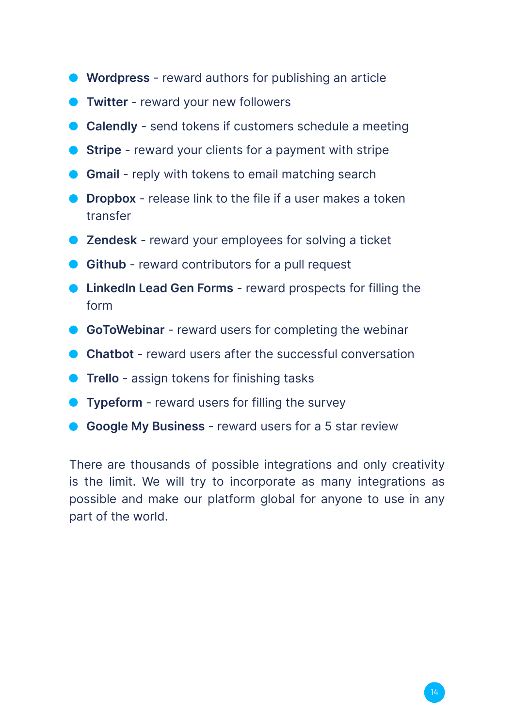- **Wordpress** reward authors for publishing an article
- **Twitter** reward your new followers
- **Calendly** send tokens if customers schedule a meeting
- **Stripe** reward your clients for a payment with stripe
- **Gmail** reply with tokens to email matching search
- **O** Dropbox release link to the file if a user makes a token transfer
- **Zendesk** reward your employees for solving a ticket
- **Github** reward contributors for a pull request
- **C** LinkedIn Lead Gen Forms reward prospects for filling the form
- **GoToWebinar** reward users for completing the webinar
- **Chatbot** reward users after the successful conversation
- **Trello** assign tokens for finishing tasks
- **Typeform** reward users for filling the survey
- **Google My Business** reward users for a 5 star review

There are thousands of possible integrations and only creativity is the limit. We will try to incorporate as many integrations as possible and make our platform global for anyone to use in any part of the world.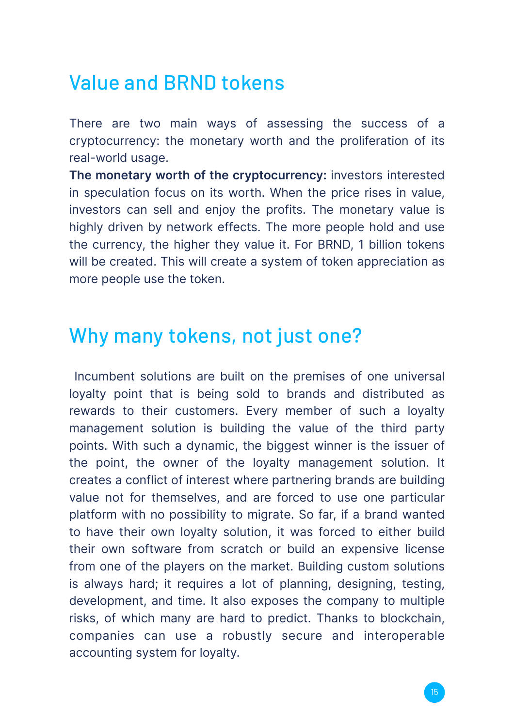### Value and BRND tokens

There are two main ways of assessing the success of a cryptocurrency: the monetary worth and the proliferation of its real-world usage.

**The monetary worth of the cryptocurrency:** investors interested in speculation focus on its worth. When the price rises in value, investors can sell and enjoy the profits. The monetary value is highly driven by network effects. The more people hold and use the currency, the higher they value it. For BRND, 1 billion tokens will be created. This will create a system of token appreciation as more people use the token.

#### Why many tokens, not just one?

 Incumbent solutions are built on the premises of one universal loyalty point that is being sold to brands and distributed as rewards to their customers. Every member of such a loyalty management solution is building the value of the third party points. With such a dynamic, the biggest winner is the issuer of the point, the owner of the loyalty management solution. It creates a conflict of interest where partnering brands are building value not for themselves, and are forced to use one particular platform with no possibility to migrate. So far, if a brand wanted to have their own loyalty solution, it was forced to either build their own software from scratch or build an expensive license from one of the players on the market. Building custom solutions is always hard; it requires a lot of planning, designing, testing, development, and time. It also exposes the company to multiple risks, of which many are hard to predict. Thanks to blockchain, companies can use a robustly secure and interoperable accounting system for loyalty.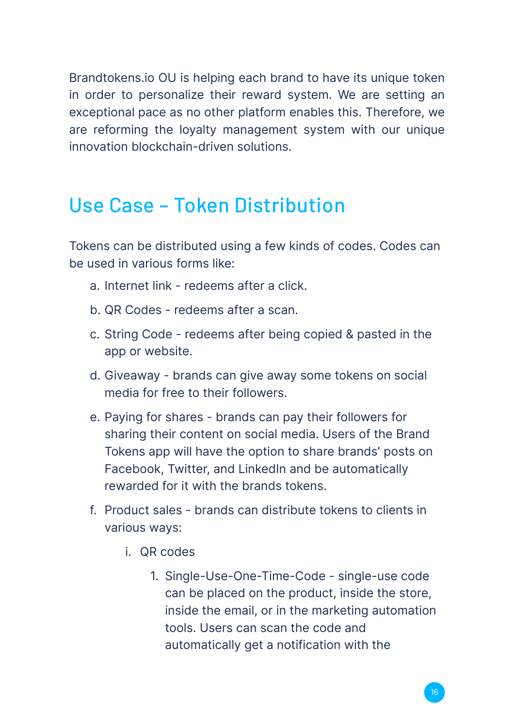Brandtokens.io OU is helping each brand to have its unique token in order to personalize their reward system. We are setting an exceptional pace as no other platform enables this. Therefore, we are reforming the loyalty management system with our unique innovation blockchain-driven solutions.

### Use Case – Token Distribution

Tokens can be distributed using a few kinds of codes. Codes can be used in various forms like:

- a. Internet link redeems after a click.
- b. QR Codes redeems after a scan.
- c. String Code redeems after being copied & pasted in the app or website.
- d. Giveaway brands can give away some tokens on social media for free to their followers.
- e. Paying for shares brands can pay their followers for sharing their content on social media. Users of the Brand Tokens app will have the option to share brands' posts on Facebook, Twitter, and LinkedIn and be automatically rewarded for it with the brands tokens.
- f. Product sales brands can distribute tokens to clients in various ways:
	- i. QR codes
		- 1. Single-Use-One-Time-Code single-use code can be placed on the product, inside the store, inside the email, or in the marketing automation tools. Users can scan the code and automatically get a notification with the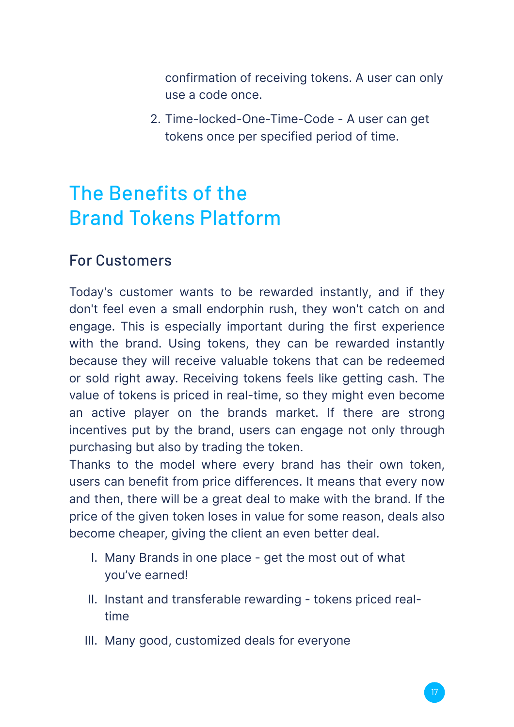confirmation of receiving tokens. A user can only use a code once.

2. Time-locked-One-Time-Code - A user can get tokens once per specified period of time.

## The Benefits of the Brand Tokens Platform

#### For Customers

Today's customer wants to be rewarded instantly, and if they don't feel even a small endorphin rush, they won't catch on and engage. This is especially important during the first experience with the brand. Using tokens, they can be rewarded instantly because they will receive valuable tokens that can be redeemed or sold right away. Receiving tokens feels like getting cash. The value of tokens is priced in real-time, so they might even become an active player on the brands market. If there are strong incentives put by the brand, users can engage not only through purchasing but also by trading the token.

Thanks to the model where every brand has their own token, users can benefit from price differences. It means that every now and then, there will be a great deal to make with the brand. If the price of the given token loses in value for some reason, deals also become cheaper, giving the client an even better deal.

- I. Many Brands in one place get the most out of what you've earned!
- II. Instant and transferable rewarding tokens priced realtime
- III. Many good, customized deals for everyone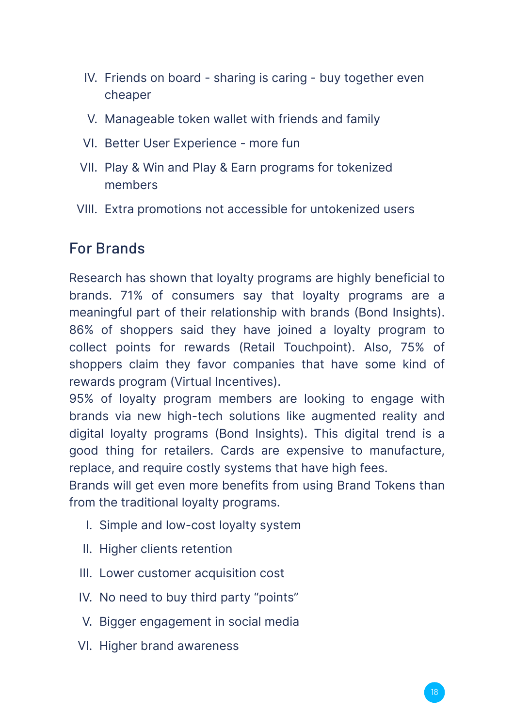- IV. Friends on board sharing is caring buy together even cheaper
- V. Manageable token wallet with friends and family
- VI. Better User Experience more fun
- VII. Play & Win and Play & Earn programs for tokenized members
- VIII. Extra promotions not accessible for untokenized users

#### For Brands

Research has shown that loyalty programs are highly beneficial to brands. 71% of consumers say that loyalty programs are a meaningful part of their relationship with brands (Bond Insights). 86% of shoppers said they have joined a loyalty program to collect points for rewards (Retail Touchpoint). Also, 75% of shoppers claim they favor companies that have some kind of rewards program (Virtual Incentives).

95% of loyalty program members are looking to engage with brands via new high-tech solutions like augmented reality and digital loyalty programs (Bond Insights). This digital trend is a good thing for retailers. Cards are expensive to manufacture, replace, and require costly systems that have high fees.

Brands will get even more benefits from using Brand Tokens than from the traditional loyalty programs.

- I. Simple and low-cost loyalty system
- II. Higher clients retention
- III. Lower customer acquisition cost
- IV. No need to buy third party "points"
- V. Bigger engagement in social media
- VI. Higher brand awareness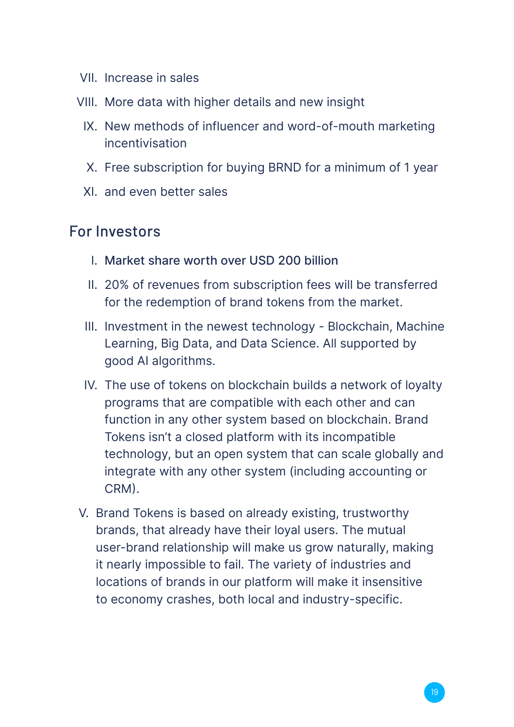- VII. Increase in sales
- VIII. More data with higher details and new insight
	- IX. New methods of influencer and word-of-mouth marketing incentivisation
	- X. Free subscription for buying BRND for a minimum of 1 year
	- XI. and even better sales

#### For Investors

- I. Market share worth over USD 200 billion
- II. 20% of revenues from subscription fees will be transferred for the redemption of brand tokens from the market.
- III. Investment in the newest technology Blockchain, Machine Learning, Big Data, and Data Science. All supported by good AI algorithms.
- IV. The use of tokens on blockchain builds a network of loyalty programs that are compatible with each other and can function in any other system based on blockchain. Brand Tokens isn't a closed platform with its incompatible technology, but an open system that can scale globally and integrate with any other system (including accounting or CRM).
- V. Brand Tokens is based on already existing, trustworthy brands, that already have their loyal users. The mutual user-brand relationship will make us grow naturally, making it nearly impossible to fail. The variety of industries and locations of brands in our platform will make it insensitive to economy crashes, both local and industry-specific.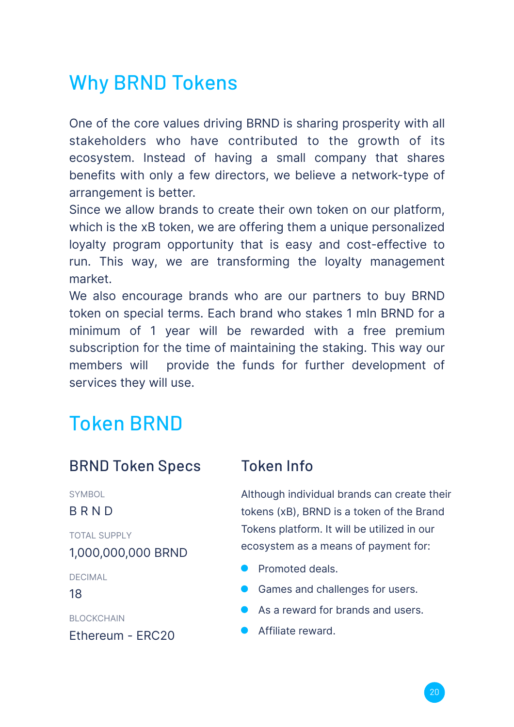## Why BRND Tokens

One of the core values driving BRND is sharing prosperity with all stakeholders who have contributed to the growth of its ecosystem. Instead of having a small company that shares benefits with only a few directors, we believe a network-type of arrangement is better.

Since we allow brands to create their own token on our platform, which is the xB token, we are offering them a unique personalized loyalty program opportunity that is easy and cost-effective to run. This way, we are transforming the loyalty management market.

We also encourage brands who are our partners to buy BRND token on special terms. Each brand who stakes 1 mln BRND for a minimum of 1 year will be rewarded with a free premium subscription for the time of maintaining the staking. This way our members will provide the funds for further development of services they will use.

## Token BRND

#### BRND Token Specs Token Info

SYMBOL

BRND

1,000,000,000 BRND TOTAL SUPPLY

DECIMAL

18

**BLOCKCHAIN** 

Ethereum - ERC20

Although individual brands can create their tokens (xB), BRND is a token of the Brand Tokens platform. It will be utilized in our ecosystem as a means of payment for:

- **•** Promoted deals.
- **Games and challenges for users.**
- As a reward for brands and users.
- **Affiliate reward**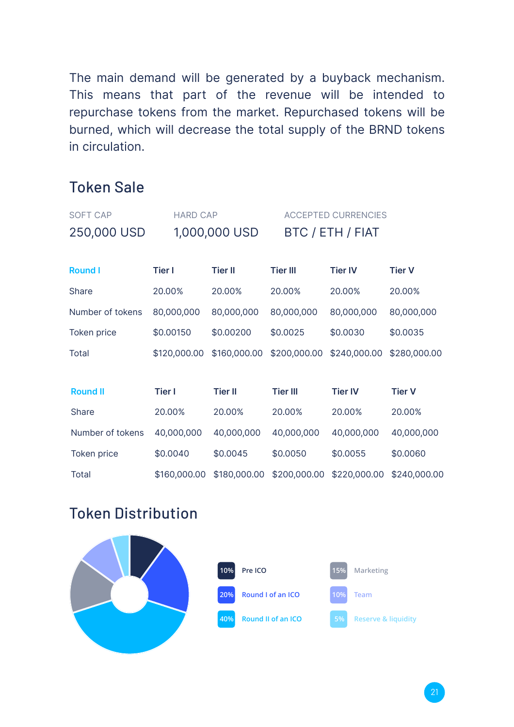The main demand will be generated by a buyback mechanism. This means that part of the revenue will be intended to repurchase tokens from the market. Repurchased tokens will be burned, which will decrease the total supply of the BRND tokens in circulation.

#### Token Sale

| <b>SOFT CAP</b>    | <b>HARD CAP</b> |                |                  | <b>ACCEPTED CURRENCIES</b> |               |  |  |  |  |
|--------------------|-----------------|----------------|------------------|----------------------------|---------------|--|--|--|--|
| 250,000 USD        |                 | 1,000,000 USD  | BTC / ETH / FIAT |                            |               |  |  |  |  |
|                    |                 |                |                  |                            |               |  |  |  |  |
| <b>Round I</b>     | <b>Tier I</b>   | <b>Tier II</b> | <b>Tier III</b>  | <b>Tier IV</b>             | <b>Tier V</b> |  |  |  |  |
| Share              | 20.00%          | 20.00%         | 20.00%           | 20.00%                     | 20.00%        |  |  |  |  |
| Number of tokens   | 80,000,000      | 80,000,000     | 80,000,000       | 80,000,000                 | 80,000,000    |  |  |  |  |
| <b>Token price</b> | \$0.00150       | \$0.00200      | \$0.0025         | \$0.0030                   | \$0.0035      |  |  |  |  |
| Total              | \$120,000.00    | \$160,000.00   | \$200,000.00     | \$240,000.00               | \$280,000.00  |  |  |  |  |
|                    |                 |                |                  |                            |               |  |  |  |  |
| <b>Round II</b>    | Tier I          | <b>Tier II</b> | <b>Tier III</b>  | <b>Tier IV</b>             | <b>Tier V</b> |  |  |  |  |
| Share              | 20.00%          | 20.00%         | 20.00%           | 20.00%                     | 20.00%        |  |  |  |  |
| Number of tokens   | 40,000,000      | 40,000,000     | 40,000,000       | 40,000,000                 | 40,000,000    |  |  |  |  |
| Token price        | \$0.0040        | \$0.0045       | \$0.0050         | \$0.0055                   | \$0.0060      |  |  |  |  |
| Total              | \$160,000.00    | \$180,000.00   | \$200,000.00     | \$220,000.00               | \$240,000.00  |  |  |  |  |

#### Token Distribution

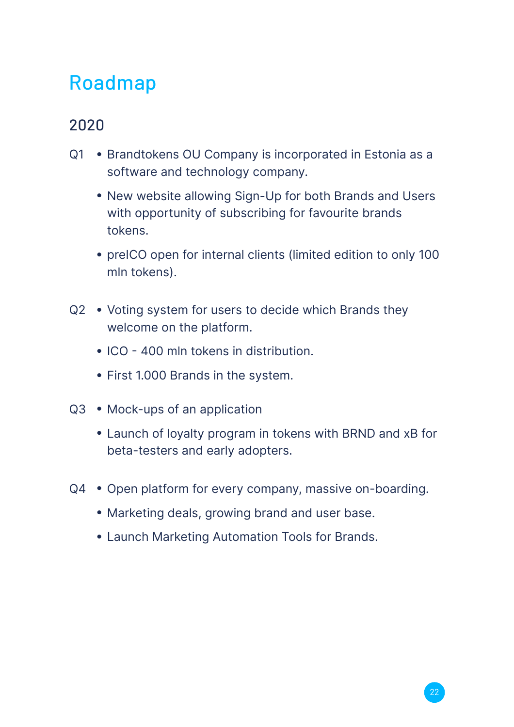## Roadmap

#### 2020

- Q1 Brandtokens OU Company is incorporated in Estonia as a software and technology company.
	- New website allowing Sign-Up for both Brands and Users with opportunity of subscribing for favourite brands tokens.
	- preICO open for internal clients (limited edition to only 100 mln tokens).
- Q2 Voting system for users to decide which Brands they welcome on the platform.
	- ICO 400 mln tokens in distribution.
	- First 1.000 Brands in the system.
- Q3 Mock-ups of an application
	- Launch of loyalty program in tokens with BRND and xB for beta-testers and early adopters.
- Q4 Open platform for every company, massive on-boarding.
	- Marketing deals, growing brand and user base.
	- Launch Marketing Automation Tools for Brands. ●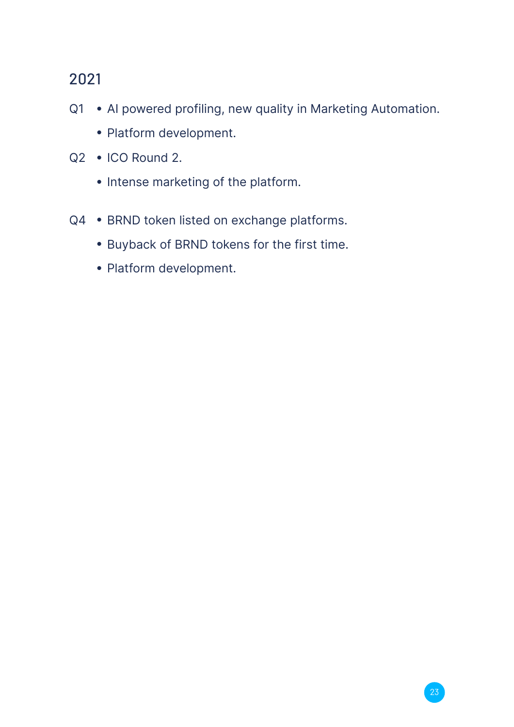#### 2021

- Q1 AI powered profiling, new quality in Marketing Automation.
	- Platform development.
- Q2 ICO Round 2.
	- Intense marketing of the platform.
- Q4 BRND token listed on exchange platforms.
	- Buyback of BRND tokens for the first time.
	- Platform development.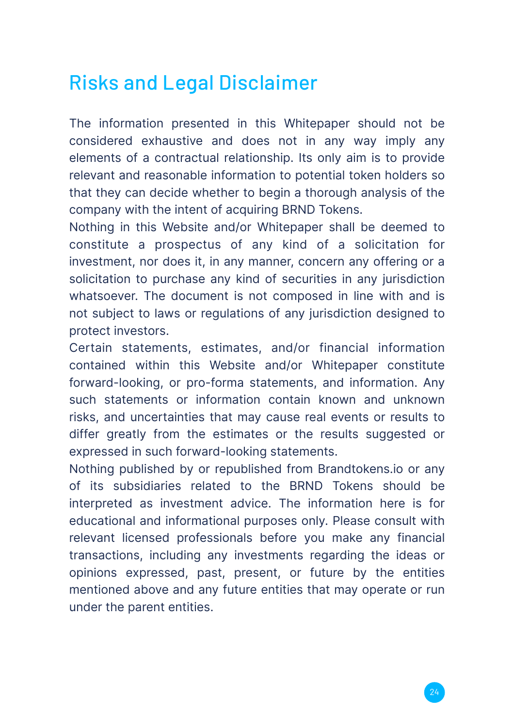## Risks and Legal Disclaimer

The information presented in this Whitepaper should not be considered exhaustive and does not in any way imply any elements of a contractual relationship. Its only aim is to provide relevant and reasonable information to potential token holders so that they can decide whether to begin a thorough analysis of the company with the intent of acquiring BRND Tokens.

Nothing in this Website and/or Whitepaper shall be deemed to constitute a prospectus of any kind of a solicitation for investment, nor does it, in any manner, concern any offering or a solicitation to purchase any kind of securities in any jurisdiction whatsoever. The document is not composed in line with and is not subject to laws or regulations of any jurisdiction designed to protect investors.

Certain statements, estimates, and/or financial information contained within this Website and/or Whitepaper constitute forward-looking, or pro-forma statements, and information. Any such statements or information contain known and unknown risks, and uncertainties that may cause real events or results to differ greatly from the estimates or the results suggested or expressed in such forward-looking statements.

Nothing published by or republished from Brandtokens.io or any of its subsidiaries related to the BRND Tokens should be interpreted as investment advice. The information here is for educational and informational purposes only. Please consult with relevant licensed professionals before you make any financial transactions, including any investments regarding the ideas or opinions expressed, past, present, or future by the entities mentioned above and any future entities that may operate or run under the parent entities.